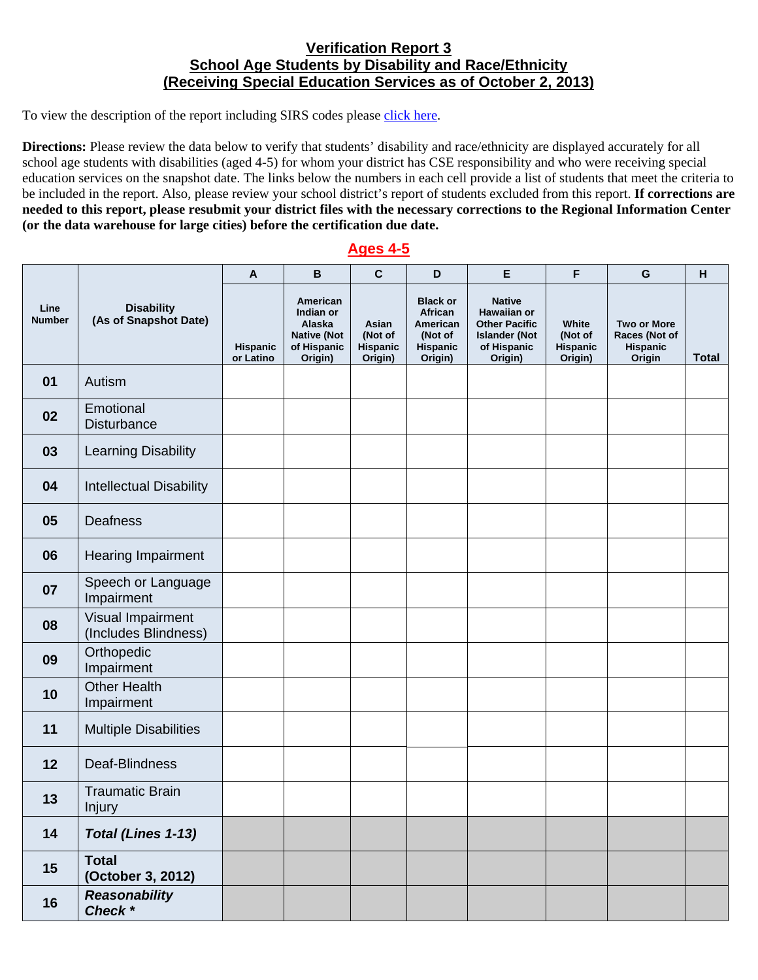## **Verification Report 3 School Age Students by Disability and Race/Ethnicity (Receiving Special Education Services as of October 2, 2013)**

To view the description of the report including SIRS codes please click here.

**Directions:** Please review the data below to verify that students' disability and race/ethnicity are displayed accurately for all school age students with disabilities (aged 4-5) for whom your district has CSE responsibility and who were receiving special education services on the snapshot date. The links below the numbers in each cell provide a list of students that meet the criteria to be included in the report. Also, please review your school district's report of students excluded from this report. **If corrections are needed to this report, please resubmit your district files with the necessary corrections to the Regional Information Center (or the data warehouse for large cities) before the certification due date.**

## **Ages 4-5**

| Line<br><b>Number</b> | <b>Disability</b><br>(As of Snapshot Date) | A                            | B                                                                               | $\mathbf c$                             | D                                                                        | E                                                                                                      | F                                              | G                                                         | H            |
|-----------------------|--------------------------------------------|------------------------------|---------------------------------------------------------------------------------|-----------------------------------------|--------------------------------------------------------------------------|--------------------------------------------------------------------------------------------------------|------------------------------------------------|-----------------------------------------------------------|--------------|
|                       |                                            | <b>Hispanic</b><br>or Latino | American<br>Indian or<br>Alaska<br><b>Native (Not</b><br>of Hispanic<br>Origin) | Asian<br>(Not of<br>Hispanic<br>Origin) | <b>Black or</b><br>African<br>American<br>(Not of<br>Hispanic<br>Origin) | <b>Native</b><br>Hawaiian or<br><b>Other Pacific</b><br><b>Islander (Not</b><br>of Hispanic<br>Origin) | White<br>(Not of<br><b>Hispanic</b><br>Origin) | <b>Two or More</b><br>Races (Not of<br>Hispanic<br>Origin | <b>Total</b> |
| 01                    | Autism                                     |                              |                                                                                 |                                         |                                                                          |                                                                                                        |                                                |                                                           |              |
| 02                    | Emotional<br><b>Disturbance</b>            |                              |                                                                                 |                                         |                                                                          |                                                                                                        |                                                |                                                           |              |
| 03                    | <b>Learning Disability</b>                 |                              |                                                                                 |                                         |                                                                          |                                                                                                        |                                                |                                                           |              |
| 04                    | <b>Intellectual Disability</b>             |                              |                                                                                 |                                         |                                                                          |                                                                                                        |                                                |                                                           |              |
| 05                    | <b>Deafness</b>                            |                              |                                                                                 |                                         |                                                                          |                                                                                                        |                                                |                                                           |              |
| 06                    | <b>Hearing Impairment</b>                  |                              |                                                                                 |                                         |                                                                          |                                                                                                        |                                                |                                                           |              |
| 07                    | Speech or Language<br>Impairment           |                              |                                                                                 |                                         |                                                                          |                                                                                                        |                                                |                                                           |              |
| 08                    | Visual Impairment<br>(Includes Blindness)  |                              |                                                                                 |                                         |                                                                          |                                                                                                        |                                                |                                                           |              |
| 09                    | Orthopedic<br>Impairment                   |                              |                                                                                 |                                         |                                                                          |                                                                                                        |                                                |                                                           |              |
| 10                    | <b>Other Health</b><br>Impairment          |                              |                                                                                 |                                         |                                                                          |                                                                                                        |                                                |                                                           |              |
| 11                    | <b>Multiple Disabilities</b>               |                              |                                                                                 |                                         |                                                                          |                                                                                                        |                                                |                                                           |              |
| 12                    | Deaf-Blindness                             |                              |                                                                                 |                                         |                                                                          |                                                                                                        |                                                |                                                           |              |
| 13                    | <b>Traumatic Brain</b><br><b>Injury</b>    |                              |                                                                                 |                                         |                                                                          |                                                                                                        |                                                |                                                           |              |
| 14                    | Total (Lines 1-13)                         |                              |                                                                                 |                                         |                                                                          |                                                                                                        |                                                |                                                           |              |
| 15                    | <b>Total</b><br>(October 3, 2012)          |                              |                                                                                 |                                         |                                                                          |                                                                                                        |                                                |                                                           |              |
| 16                    | Reasonability<br>Check *                   |                              |                                                                                 |                                         |                                                                          |                                                                                                        |                                                |                                                           |              |